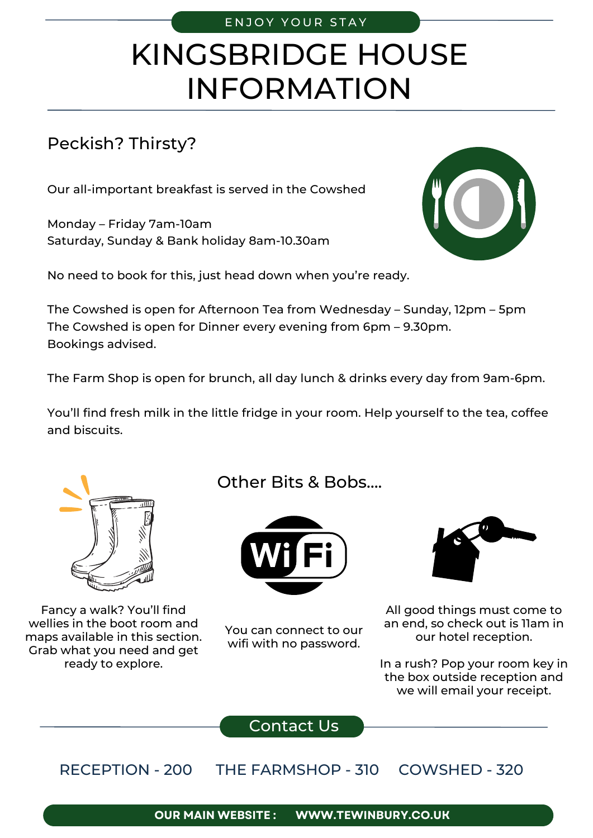### ENJOY YOUR STAY

# KINGSBRIDGE HOUSE INFORMATION

## Peckish? Thirsty?

Our all-important breakfast is served in the Cowshed

Monday – Friday 7am-10am Saturday, Sunday & Bank holiday 8am-10.30am

No need to book for this, just head down when you're ready.

The Cowshed is open for Afternoon Tea from Wednesday – Sunday, 12pm – 5pm The Cowshed is open for Dinner every evening from 6pm – 9.30pm. Bookings advised.

The Farm Shop is open for brunch, all day lunch & drinks every day from 9am-6pm.

You'll find fresh milk in the little fridge in your room. Help yourself to the tea, coffee and biscuits.



Fancy a walk? You'll find wellies in the boot room and maps available in this section. Grab what you need and get ready to explore.

Other Bits & Bobs….



You can connect to our wifi with no password.



All good things must come to an end, so check out is 11am in our hotel reception.

In a rush? Pop your room key in the box outside reception and we will email your receipt.

Contact Us

RECEPTION - 200 THE FARMSHOP - 310 COWSHED - 320

> **WWW.TEWINBURY.CO.UK OUR MAIN WEBSITE :**